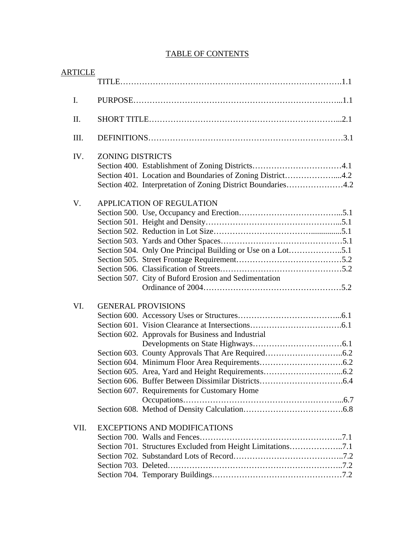| <b>ARTICLE</b> |                                                                                                                                                       |
|----------------|-------------------------------------------------------------------------------------------------------------------------------------------------------|
| I.             |                                                                                                                                                       |
| II.            |                                                                                                                                                       |
| III.           |                                                                                                                                                       |
| IV.            | <b>ZONING DISTRICTS</b><br>Section 401. Location and Boundaries of Zoning District4.2<br>Section 402. Interpretation of Zoning District Boundaries4.2 |
| V.             | <b>APPLICATION OF REGULATION</b><br>Section 507. City of Buford Erosion and Sedimentation                                                             |
| VI.            | <b>GENERAL PROVISIONS</b><br>Section 602. Approvals for Business and Industrial<br>Section 607. Requirements for Customary Home                       |
| VII.           | <b>EXCEPTIONS AND MODIFICATIONS</b><br>Section 701. Structures Excluded from Height Limitations7.1                                                    |

## TABLE OF CONTENTS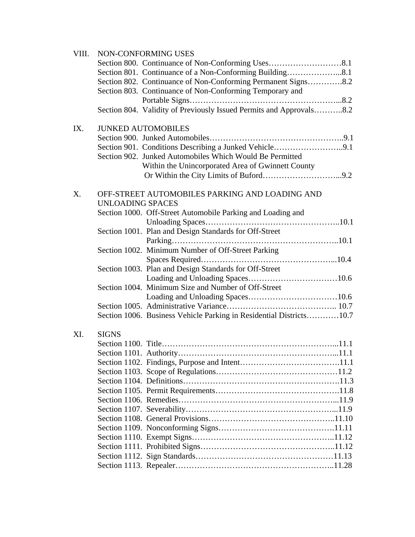| VIII. | NON-CONFORMING USES                                                       |  |  |  |  |
|-------|---------------------------------------------------------------------------|--|--|--|--|
|       |                                                                           |  |  |  |  |
|       | Section 801. Continuance of a Non-Conforming Building8.1                  |  |  |  |  |
|       | Section 802. Continuance of Non-Conforming Permanent Signs8.2             |  |  |  |  |
|       | Section 803. Continuance of Non-Conforming Temporary and                  |  |  |  |  |
|       |                                                                           |  |  |  |  |
|       | Section 804. Validity of Previously Issued Permits and Approvals8.2       |  |  |  |  |
| IX.   | <b>JUNKED AUTOMOBILES</b>                                                 |  |  |  |  |
|       |                                                                           |  |  |  |  |
|       | Section 901. Conditions Describing a Junked Vehicle9.1                    |  |  |  |  |
|       | Section 902. Junked Automobiles Which Would Be Permitted                  |  |  |  |  |
|       | Within the Unincorporated Area of Gwinnett County                         |  |  |  |  |
|       |                                                                           |  |  |  |  |
| X.    | OFF-STREET AUTOMOBILES PARKING AND LOADING AND<br><b>UNLOADING SPACES</b> |  |  |  |  |
|       | Section 1000. Off-Street Automobile Parking and Loading and               |  |  |  |  |
|       |                                                                           |  |  |  |  |
|       | Section 1001. Plan and Design Standards for Off-Street                    |  |  |  |  |
|       |                                                                           |  |  |  |  |
|       | Section 1002. Minimum Number of Off-Street Parking                        |  |  |  |  |
|       |                                                                           |  |  |  |  |
|       | Section 1003. Plan and Design Standards for Off-Street                    |  |  |  |  |
|       | Section 1004. Minimum Size and Number of Off-Street                       |  |  |  |  |
|       |                                                                           |  |  |  |  |
|       |                                                                           |  |  |  |  |
|       |                                                                           |  |  |  |  |
|       | Section 1006. Business Vehicle Parking in Residential Districts10.7       |  |  |  |  |
| XI.   | <b>SIGNS</b>                                                              |  |  |  |  |
|       |                                                                           |  |  |  |  |
|       |                                                                           |  |  |  |  |
|       |                                                                           |  |  |  |  |
|       |                                                                           |  |  |  |  |
|       |                                                                           |  |  |  |  |
|       |                                                                           |  |  |  |  |
|       |                                                                           |  |  |  |  |
|       |                                                                           |  |  |  |  |
|       |                                                                           |  |  |  |  |
|       |                                                                           |  |  |  |  |
|       |                                                                           |  |  |  |  |
|       |                                                                           |  |  |  |  |
|       |                                                                           |  |  |  |  |
|       |                                                                           |  |  |  |  |
|       |                                                                           |  |  |  |  |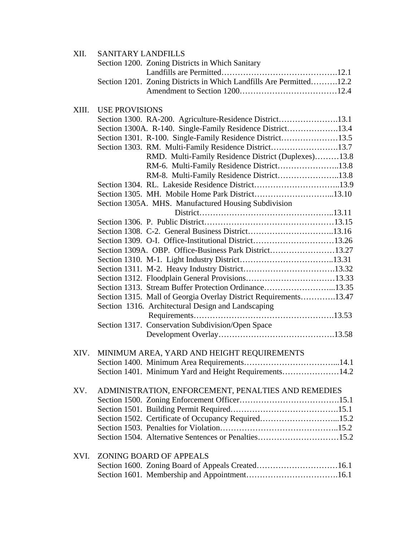| XII.  | <b>SANITARY LANDFILLS</b>                                           |  |  |  |  |
|-------|---------------------------------------------------------------------|--|--|--|--|
|       | Section 1200. Zoning Districts in Which Sanitary                    |  |  |  |  |
|       |                                                                     |  |  |  |  |
|       | Section 1201. Zoning Districts in Which Landfills Are Permitted12.2 |  |  |  |  |
|       |                                                                     |  |  |  |  |
|       |                                                                     |  |  |  |  |
| XIII. | <b>USE PROVISIONS</b>                                               |  |  |  |  |
|       | Section 1300. RA-200. Agriculture-Residence District13.1            |  |  |  |  |
|       | Section 1300A. R-140. Single-Family Residence District13.4          |  |  |  |  |
|       | Section 1301. R-100. Single-Family Residence District13.5           |  |  |  |  |
|       | Section 1303. RM. Multi-Family Residence District13.7               |  |  |  |  |
|       | RMD. Multi-Family Residence District (Duplexes)13.8                 |  |  |  |  |
|       | RM-6. Multi-Family Residence District13.8                           |  |  |  |  |
|       | RM-8. Multi-Family Residence District13.8                           |  |  |  |  |
|       |                                                                     |  |  |  |  |
|       |                                                                     |  |  |  |  |
|       | Section 1305A. MHS. Manufactured Housing Subdivision                |  |  |  |  |
|       |                                                                     |  |  |  |  |
|       |                                                                     |  |  |  |  |
|       |                                                                     |  |  |  |  |
|       | Section 1309. O-I. Office-Institutional District13.26               |  |  |  |  |
|       | Section 1309A. OBP. Office-Business Park District13.27              |  |  |  |  |
|       |                                                                     |  |  |  |  |
|       |                                                                     |  |  |  |  |
|       |                                                                     |  |  |  |  |
|       | Section 1313. Stream Buffer Protection Ordinance13.35               |  |  |  |  |
|       | Section 1315. Mall of Georgia Overlay District Requirements13.47    |  |  |  |  |
|       | Section 1316. Architectural Design and Landscaping                  |  |  |  |  |
|       |                                                                     |  |  |  |  |
|       | Section 1317. Conservation Subdivision/Open Space                   |  |  |  |  |
|       |                                                                     |  |  |  |  |
|       |                                                                     |  |  |  |  |
| XIV.  | MINIMUM AREA, YARD AND HEIGHT REQUIREMENTS                          |  |  |  |  |
|       |                                                                     |  |  |  |  |
|       | Section 1401. Minimum Yard and Height Requirements14.2              |  |  |  |  |
|       |                                                                     |  |  |  |  |
| XV.   | ADMINISTRATION, ENFORCEMENT, PENALTIES AND REMEDIES                 |  |  |  |  |
|       |                                                                     |  |  |  |  |
|       |                                                                     |  |  |  |  |
|       | Section 1502. Certificate of Occupancy Required15.2                 |  |  |  |  |
|       |                                                                     |  |  |  |  |
|       | Section 1504. Alternative Sentences or Penalties15.2                |  |  |  |  |
| XVI.  | <b>ZONING BOARD OF APPEALS</b>                                      |  |  |  |  |
|       | Section 1600. Zoning Board of Appeals Created16.1                   |  |  |  |  |
|       |                                                                     |  |  |  |  |
|       |                                                                     |  |  |  |  |